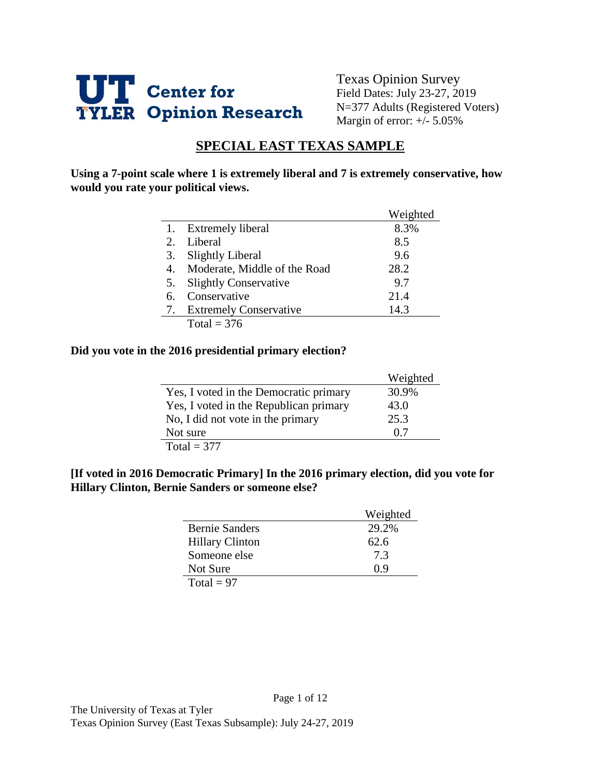

Texas Opinion Survey Field Dates: July 23-27, 2019 N=377 Adults (Registered Voters) Margin of error: +/- 5.05%

# **SPECIAL EAST TEXAS SAMPLE**

**Using a 7-point scale where 1 is extremely liberal and 7 is extremely conservative, how would you rate your political views.** 

|    |                               | Weighted |
|----|-------------------------------|----------|
|    | <b>Extremely liberal</b>      | 8.3%     |
| 2. | Liberal                       | 8.5      |
| 3. | <b>Slightly Liberal</b>       | 9.6      |
| 4. | Moderate, Middle of the Road  | 28.2     |
| 5. | <b>Slightly Conservative</b>  | 9.7      |
| 6. | Conservative                  | 21.4     |
| 7. | <b>Extremely Conservative</b> | 14.3     |
|    | Total = $376$                 |          |

#### **Did you vote in the 2016 presidential primary election?**

|                                        | Weighted |
|----------------------------------------|----------|
| Yes, I voted in the Democratic primary | 30.9%    |
| Yes, I voted in the Republican primary | 43.0     |
| No, I did not vote in the primary      | 25.3     |
| Not sure                               | 0.7      |
| Total = $377$                          |          |

#### **[If voted in 2016 Democratic Primary] In the 2016 primary election, did you vote for Hillary Clinton, Bernie Sanders or someone else?**

|                        | Weighted |
|------------------------|----------|
| <b>Bernie Sanders</b>  | 29.2%    |
| <b>Hillary Clinton</b> | 62.6     |
| Someone else           | 7.3      |
| Not Sure               | () 9     |
| Total = $97$           |          |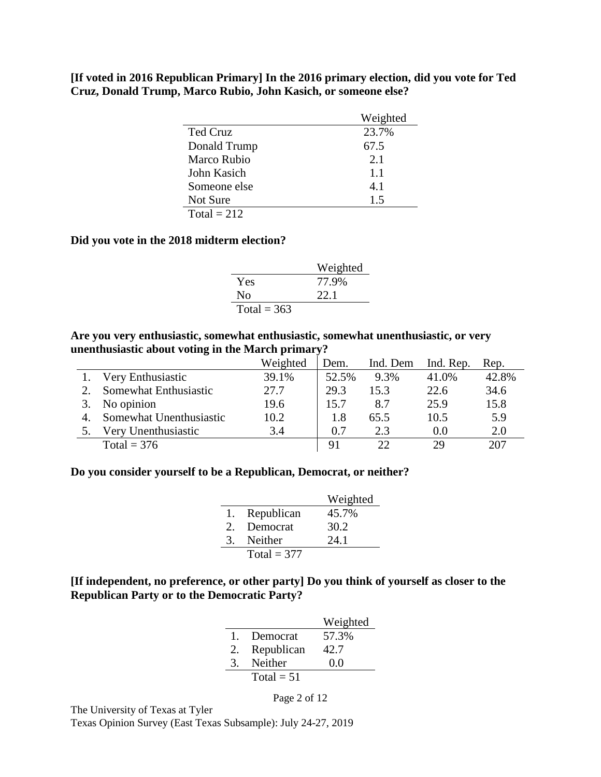**[If voted in 2016 Republican Primary] In the 2016 primary election, did you vote for Ted Cruz, Donald Trump, Marco Rubio, John Kasich, or someone else?**

|               | Weighted |
|---------------|----------|
| Ted Cruz      | 23.7%    |
| Donald Trump  | 67.5     |
| Marco Rubio   | 2.1      |
| John Kasich   | 1.1      |
| Someone else  | 4.1      |
| Not Sure      | 1.5      |
| $Total = 212$ |          |

#### **Did you vote in the 2018 midterm election?**

|               | Weighted |
|---------------|----------|
| Yes           | 77.9%    |
| Nο            | 22.1     |
| Total = $363$ |          |

**Are you very enthusiastic, somewhat enthusiastic, somewhat unenthusiastic, or very unenthusiastic about voting in the March primary?**

|                         | Weighted | Dem.  | Ind. Dem | Ind. Rep. | Rep.  |
|-------------------------|----------|-------|----------|-----------|-------|
| Very Enthusiastic       | 39.1%    | 52.5% | 9.3%     | 41.0%     | 42.8% |
| Somewhat Enthusiastic   | 27.7     | 29.3  | 15.3     | 22.6      | 34.6  |
| No opinion              | 19.6     | 15.7  | 8.7      | 25.9      | 15.8  |
| Somewhat Unenthusiastic | 10.2     | 1.8   | 65.5     | 10.5      | 5.9   |
| Very Unenthusiastic     | 3.4      | 0.7   | 2.3      | 0.0       | 2.0   |
| Total = $376$           |          | 91    | フフ       | 29        | 207   |

#### **Do you consider yourself to be a Republican, Democrat, or neither?**

|       |               | Weighted |
|-------|---------------|----------|
| 1.    | Republican    | 45.7%    |
| $2 -$ | Democrat      | 30.2     |
| 3.    | Neither       | 24.1     |
|       | Total = $377$ |          |

# **[If independent, no preference, or other party] Do you think of yourself as closer to the Republican Party or to the Democratic Party?**

|              |              | Weighted |
|--------------|--------------|----------|
| $\mathbf{L}$ | Democrat     | 57.3%    |
| 2.           | Republican   | 42.7     |
| 3            | Neither      | 0.0      |
|              | $Total = 51$ |          |

Page 2 of 12

The University of Texas at Tyler

Texas Opinion Survey (East Texas Subsample): July 24-27, 2019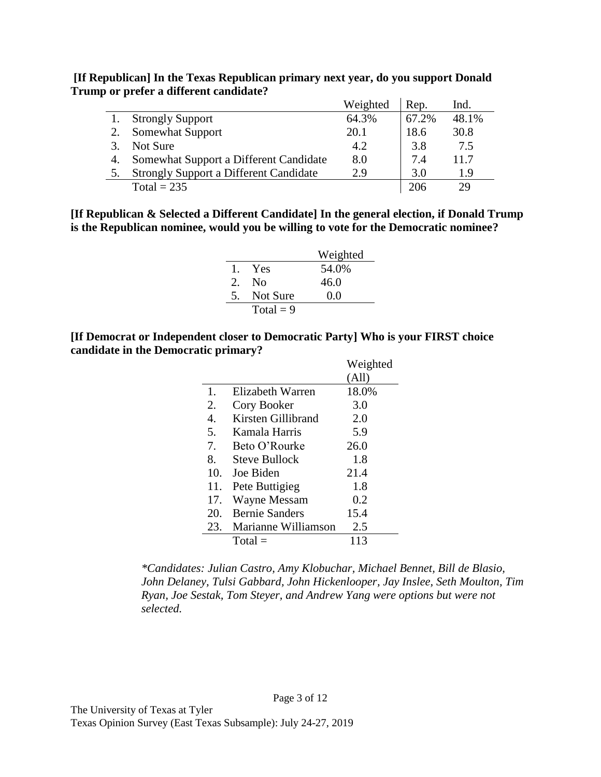**[If Republican] In the Texas Republican primary next year, do you support Donald Trump or prefer a different candidate?**

|                                               | Weighted | Rep.  | Ind.  |
|-----------------------------------------------|----------|-------|-------|
| <b>Strongly Support</b>                       | 64.3%    | 67.2% | 48.1% |
| <b>Somewhat Support</b>                       | 20.1     | 18.6  | 30.8  |
| Not Sure                                      | 4.2      | 3.8   | 7.5   |
| Somewhat Support a Different Candidate        | 8.0      | 7.4   | 11.7  |
| <b>Strongly Support a Different Candidate</b> | 2.9      | 3.0   | 1.9   |
| Total = $235$                                 |          | 206   | 29    |

**[If Republican & Selected a Different Candidate] In the general election, if Donald Trump is the Republican nominee, would you be willing to vote for the Democratic nominee?**

|               |             | Weighted |
|---------------|-------------|----------|
|               | 1. Yes      | 54.0%    |
| $\mathcal{D}$ | - No        | 46.0     |
| .5            | Not Sure    | 0.0      |
|               | Total = $9$ |          |

**[If Democrat or Independent closer to Democratic Party] Who is your FIRST choice candidate in the Democratic primary?**

|     |                       | Weighted |
|-----|-----------------------|----------|
|     |                       | (All)    |
| 1.  | Elizabeth Warren      | 18.0%    |
| 2.  | Cory Booker           | 3.0      |
| 4.  | Kirsten Gillibrand    | 2.0      |
| 5.  | Kamala Harris         | 5.9      |
| 7.  | Beto O'Rourke         | 26.0     |
| 8.  | <b>Steve Bullock</b>  | 1.8      |
| 10. | Joe Biden             | 21.4     |
| 11. | Pete Buttigieg        | 1.8      |
| 17. | <b>Wayne Messam</b>   | 0.2      |
| 20. | <b>Bernie Sanders</b> | 15.4     |
| 23. | Marianne Williamson   | 2.5      |
|     | $Total =$             | 113      |

*\*Candidates: Julian Castro, Amy Klobuchar, Michael Bennet, Bill de Blasio, John Delaney, Tulsi Gabbard, John Hickenlooper, Jay Inslee, Seth Moulton, Tim Ryan, Joe Sestak, Tom Steyer, and Andrew Yang were options but were not selected.*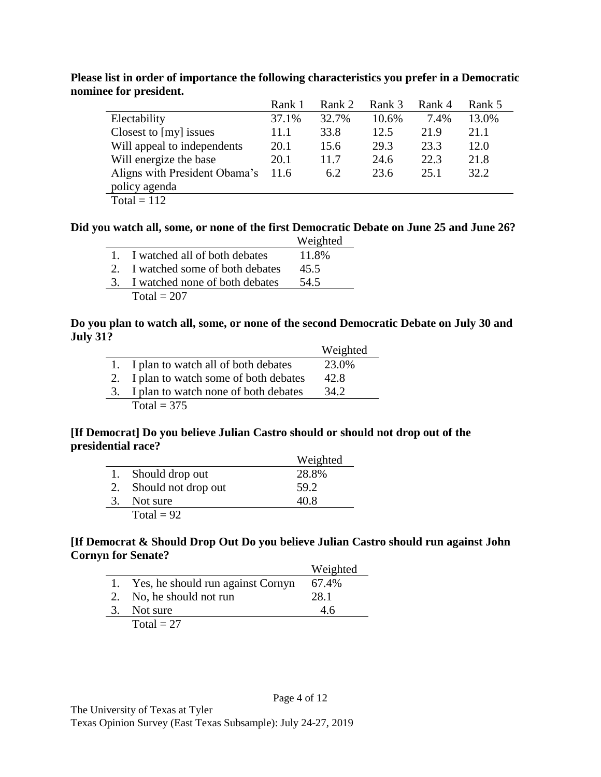|                               | Rank 1 | Rank 2 | Rank 3 | Rank 4 | Rank 5 |
|-------------------------------|--------|--------|--------|--------|--------|
| Electability                  | 37.1%  | 32.7%  | 10.6%  | 7.4%   | 13.0%  |
| Closest to [my] issues        | 11.1   | 33.8   | 12.5   | 21.9   | 21.1   |
| Will appeal to independents   | 20.1   | 15.6   | 29.3   | 23.3   | 12.0   |
| Will energize the base        | 20.1   | 11.7   | 24.6   | 22.3   | 21.8   |
| Aligns with President Obama's | 11.6   | 6.2    | 23.6   | 25.1   | 32.2   |
| policy agenda                 |        |        |        |        |        |
| $Total = 112$                 |        |        |        |        |        |

**Please list in order of importance the following characteristics you prefer in a Democratic nominee for president.**

#### **Did you watch all, some, or none of the first Democratic Debate on June 25 and June 26?**

|                                   | Weighted |
|-----------------------------------|----------|
| 1. I watched all of both debates  | 11.8%    |
| 2. I watched some of both debates | 45.5     |
| 3. I watched none of both debates | 54.5     |
| Total = $207$                     |          |

#### **Do you plan to watch all, some, or none of the second Democratic Debate on July 30 and July 31?**

|                                         | Weighted |
|-----------------------------------------|----------|
| 1. I plan to watch all of both debates  | 23.0%    |
| 2. I plan to watch some of both debates | 42.8     |
| 3. I plan to watch none of both debates | 34.2     |
| Total = $375$                           |          |

## **[If Democrat] Do you believe Julian Castro should or should not drop out of the presidential race?**

|    |                     | Weighted |
|----|---------------------|----------|
|    | 1. Should drop out  | 28.8%    |
| 2. | Should not drop out | 59.2     |
|    | 3. Not sure         | 40.8     |
|    | Total = $92$        |          |

## **[If Democrat & Should Drop Out Do you believe Julian Castro should run against John Cornyn for Senate?**

|    |                                      | Weighted |
|----|--------------------------------------|----------|
|    | 1. Yes, he should run against Cornyn | 67.4%    |
|    | 2. No, he should not run             | 28.1     |
| 3. | Not sure                             | 4.6      |
|    | Total $= 27$                         |          |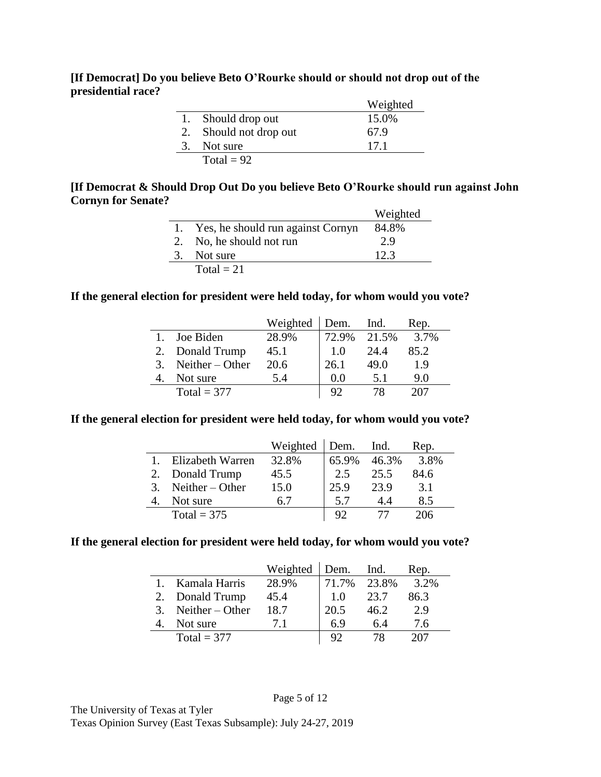### **[If Democrat] Do you believe Beto O'Rourke should or should not drop out of the presidential race?**

|                        | Weighted |
|------------------------|----------|
| 1. Should drop out     | 15.0%    |
| 2. Should not drop out | 67.9     |
| 3. Not sure            | 17.1     |
| Total = $92$           |          |

## **[If Democrat & Should Drop Out Do you believe Beto O'Rourke should run against John Cornyn for Senate?**

|    |                                      | Weighted |
|----|--------------------------------------|----------|
|    | 1. Yes, he should run against Cornyn | 84.8%    |
|    | 2. No, he should not run             | 2.9      |
| 3. | Not sure                             | 12.3     |
|    | Total $= 21$                         |          |

## **If the general election for president were held today, for whom would you vote?**

|    |                   | Weighted | Dem.  | Ind.  | Rep. |
|----|-------------------|----------|-------|-------|------|
|    | Joe Biden         | 28.9%    | 72.9% | 21.5% | 3.7% |
|    | 2. Donald Trump   | 45.1     | 1.0   | 24.4  | 85.2 |
| 3. | Neither $-$ Other | 20.6     | 26.1  | 49.0  | 1.9  |
|    | Not sure          | 5.4      | 0.0   | 51    | 90   |
|    | Total = $377$     |          |       |       |      |

## **If the general election for president were held today, for whom would you vote?**

|         |                   | Weighted | Dem.  | Ind.  | Rep. |
|---------|-------------------|----------|-------|-------|------|
|         | Elizabeth Warren  | 32.8%    | 65.9% | 46.3% | 3.8% |
|         | Donald Trump      | 45.5     | 2.5   | 25.5  | 84.6 |
| $3_{-}$ | Neither $-$ Other | 15.0     | 25.9  | 23.9  | 3.1  |
|         | Not sure          | 67       | 5.7   | 44    | 8.5  |
|         | Total = $375$     |          |       |       | 206  |

#### **If the general election for president were held today, for whom would you vote?**

|               |                   | Weighted | Dem.  | Ind.  | Rep. |
|---------------|-------------------|----------|-------|-------|------|
|               | Kamala Harris     | 28.9%    | 71.7% | 23.8% | 3.2% |
|               | 2. Donald Trump   | 45.4     | 1.0   | 23.7  | 86.3 |
| $\mathcal{R}$ | $Neither - Other$ | 18.7     | 20.5  | 46.2  | 2.9  |
|               | Not sure          | 71       | 6.9   | 6.4   | 7.6  |
|               | Total = $377$     |          |       |       |      |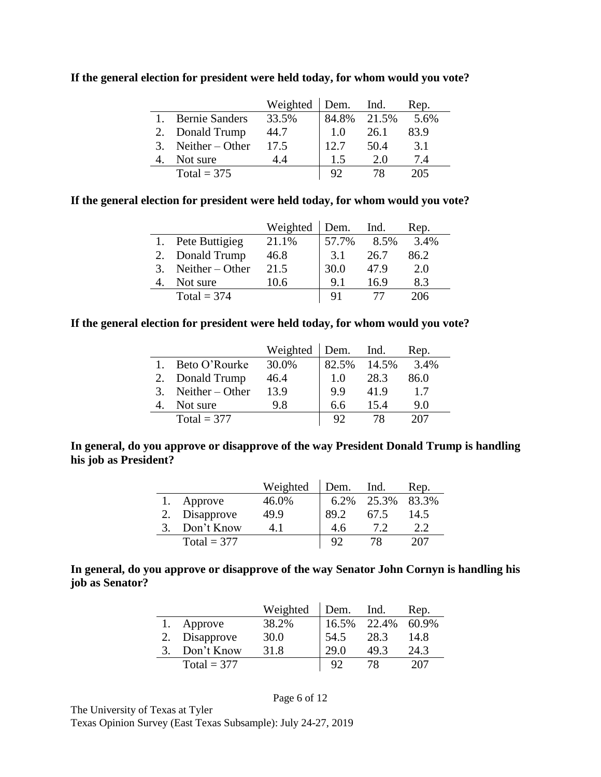|   |                       | Weighted | Dem. Ind. |       | Rep. |
|---|-----------------------|----------|-----------|-------|------|
|   | <b>Bernie Sanders</b> | 33.5%    | 84.8%     | 21.5% | 5.6% |
|   | Donald Trump          | 44.7     | 1.0       | 26.1  | 83.9 |
| 3 | Neither $-$ Other     | 17.5     | 12.7      | 50.4  | 3.1  |
|   | Not sure              | 44       | 1.5       | 20    | 7.4  |
|   | Total = $375$         |          |           |       | 205  |

**If the general election for president were held today, for whom would you vote?**

### **If the general election for president were held today, for whom would you vote?**

|    |                   | Weighted | Dem.  | Ind. | Rep. |
|----|-------------------|----------|-------|------|------|
|    | 1. Pete Buttigieg | 21.1%    | 57.7% | 8.5% | 3.4% |
|    | Donald Trump      | 46.8     | 3.1   | 26.7 | 86.2 |
| 3. | Neither $-$ Other | 21.5     | 30.0  | 47.9 | 2.0  |
|    | Not sure          | 10.6     | 9.1   | 16.9 | 8.3  |
|    | Total = $374$     |          |       |      | 206  |

## **If the general election for president were held today, for whom would you vote?**

|                      | Weighted | Dem.           | Ind.  | Rep. |
|----------------------|----------|----------------|-------|------|
| Beto O'Rourke        | 30.0%    | 82.5%          | 14.5% | 3.4% |
| 2. Donald Trump      | 46.4     | 1.0            | 28.3  | 86.0 |
| 3. Neither $-$ Other | 13.9     | 9.9            | 41.9  | 1.7  |
| Not sure             | 9.8      | 6.6            | 15.4  | 9.0  |
| Total = $377$        |          | Q <sub>2</sub> | 78    |      |

## **In general, do you approve or disapprove of the way President Donald Trump is handling his job as President?**

|               | Weighted | Dem.           | Ind.  | Rep.  |
|---------------|----------|----------------|-------|-------|
| Approve       | 46.0%    | $6.2\%$        | 25.3% | 83.3% |
| Disapprove    | 49.9     | 89.2           | 67.5  | 14.5  |
| Don't Know    |          | 4.6            |       |       |
| Total = $377$ |          | Q <sub>2</sub> |       | 207   |

### **In general, do you approve or disapprove of the way Senator John Cornyn is handling his job as Senator?**

|               | Weighted | Dem.           | Ind.  | Rep.  |
|---------------|----------|----------------|-------|-------|
| Approve       | 38.2%    | 16.5%          | 22.4% | 60.9% |
| Disapprove    | 30.0     | 54.5           | 28.3  | 14.8  |
| Don't Know    | 31.8     | 29.0           | 49.3  | 24.3  |
| Total = $377$ |          | Q <sub>2</sub> | 78    | 207   |

The University of Texas at Tyler Texas Opinion Survey (East Texas Subsample): July 24-27, 2019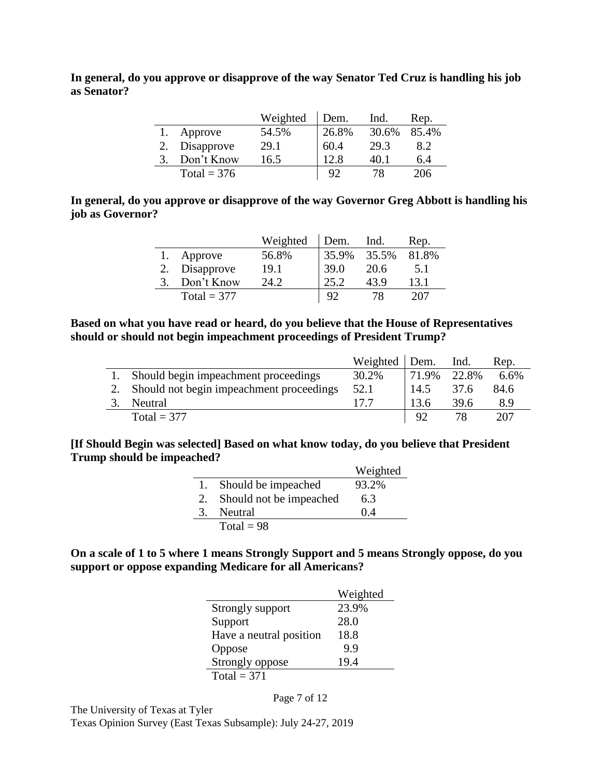**In general, do you approve or disapprove of the way Senator Ted Cruz is handling his job as Senator?**

|               | Weighted | Dem.  | Ind.  | Rep.  |
|---------------|----------|-------|-------|-------|
| Approve       | 54.5%    | 26.8% | 30.6% | 85.4% |
| Disapprove    | 29.1     | 60.4  | 29.3  | 8.2   |
| Don't Know    | 16.5     | 12.8  | 40.1  | 6.4   |
| Total = $376$ |          | 92    | 78    | 206   |

# **In general, do you approve or disapprove of the way Governor Greg Abbott is handling his job as Governor?**

|               | Weighted | Dem.  | Ind.  | Rep.  |
|---------------|----------|-------|-------|-------|
| Approve       | 56.8%    | 35.9% | 35.5% | 81.8% |
| Disapprove    | 19.1     | 39.0  | 20.6  | 5.1   |
| Don't Know    | 24.2     | 25.2  | 43.9  | 13.1  |
| Total = $377$ |          |       |       | 207   |

#### **Based on what you have read or heard, do you believe that the House of Representatives should or should not begin impeachment proceedings of President Trump?**

|                                             | Weighted   Dem. |       | Ind.  | Rep. |
|---------------------------------------------|-----------------|-------|-------|------|
| Should begin impeachment proceedings        | 30.2%           | 71.9% | 22.8% | 6.6% |
| 2. Should not begin impeachment proceedings | 52.1            | 14.5  | 37.6  | 84.6 |
| Neutral                                     | 177             | 13.6  | 39.6  | 8.9  |
| Total = $377$                               |                 | 92    |       | 207  |

#### **[If Should Begin was selected] Based on what know today, do you believe that President Trump should be impeached?**

|                         | Weighted |
|-------------------------|----------|
| Should be impeached     | 93.2%    |
| Should not be impeached | 6.3      |
| Neutral                 | (14      |
| $Total = 98$            |          |

## **On a scale of 1 to 5 where 1 means Strongly Support and 5 means Strongly oppose, do you support or oppose expanding Medicare for all Americans?**

|                         | Weighted |
|-------------------------|----------|
| Strongly support        | 23.9%    |
| Support                 | 28.0     |
| Have a neutral position | 18.8     |
| Oppose                  | 99       |
| Strongly oppose         | 19.4     |
| Total = $371$           |          |

The University of Texas at Tyler Texas Opinion Survey (East Texas Subsample): July 24-27, 2019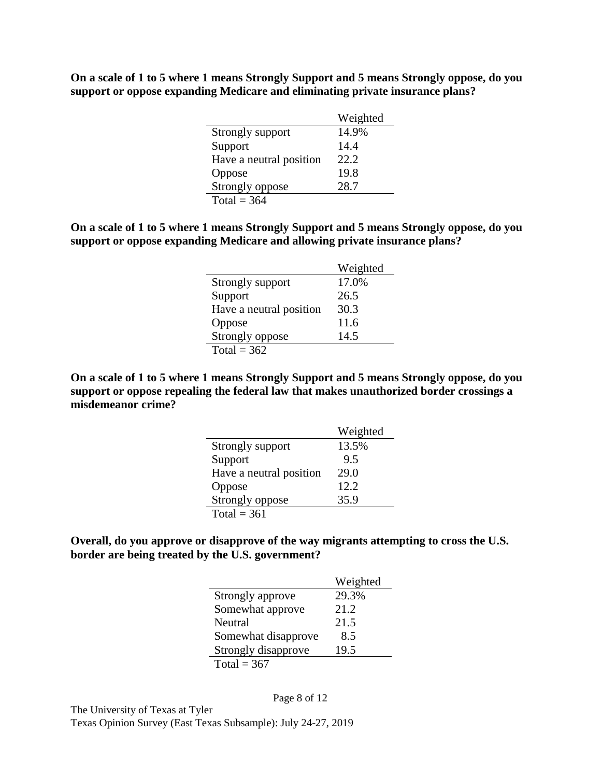**On a scale of 1 to 5 where 1 means Strongly Support and 5 means Strongly oppose, do you support or oppose expanding Medicare and eliminating private insurance plans?**

|                         | Weighted |
|-------------------------|----------|
| Strongly support        | 14.9%    |
| Support                 | 14.4     |
| Have a neutral position | 22.2     |
| Oppose                  | 19.8     |
| Strongly oppose         | 28.7     |
| Total = $364$           |          |

**On a scale of 1 to 5 where 1 means Strongly Support and 5 means Strongly oppose, do you support or oppose expanding Medicare and allowing private insurance plans?**

|                         | Weighted |
|-------------------------|----------|
| Strongly support        | 17.0%    |
| Support                 | 26.5     |
| Have a neutral position | 30.3     |
| Oppose                  | 11.6     |
| Strongly oppose         | 14.5     |
| Total = $362$           |          |

**On a scale of 1 to 5 where 1 means Strongly Support and 5 means Strongly oppose, do you support or oppose repealing the federal law that makes unauthorized border crossings a misdemeanor crime?**

|                         | Weighted |
|-------------------------|----------|
| Strongly support        | 13.5%    |
| Support                 | 9.5      |
| Have a neutral position | 29.0     |
| Oppose                  | 12.2     |
| Strongly oppose         | 35.9     |
| Total = $361$           |          |

**Overall, do you approve or disapprove of the way migrants attempting to cross the U.S. border are being treated by the U.S. government?**

|                     | Weighted |
|---------------------|----------|
| Strongly approve    | 29.3%    |
| Somewhat approve    | 21.2     |
| Neutral             | 21.5     |
| Somewhat disapprove | 8.5      |
| Strongly disapprove | 19.5     |
| Total = $367$       |          |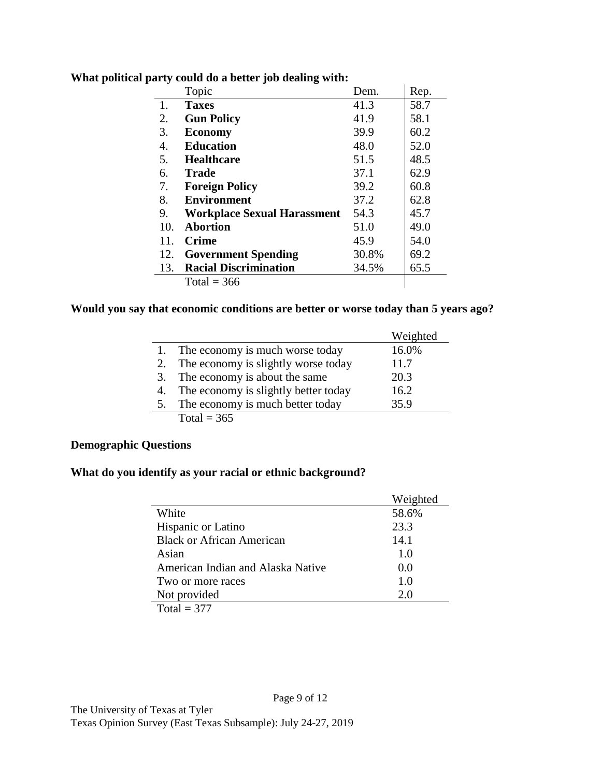| Topic                              | Dem.  | Rep. |
|------------------------------------|-------|------|
| <b>Taxes</b>                       | 41.3  | 58.7 |
| <b>Gun Policy</b>                  | 41.9  | 58.1 |
| <b>Economy</b>                     | 39.9  | 60.2 |
| <b>Education</b>                   | 48.0  | 52.0 |
| <b>Healthcare</b>                  | 51.5  | 48.5 |
| <b>Trade</b>                       | 37.1  | 62.9 |
| <b>Foreign Policy</b>              | 39.2  | 60.8 |
| <b>Environment</b>                 | 37.2  | 62.8 |
| <b>Workplace Sexual Harassment</b> | 54.3  | 45.7 |
| <b>Abortion</b>                    | 51.0  | 49.0 |
| <b>Crime</b>                       | 45.9  | 54.0 |
| <b>Government Spending</b>         | 30.8% | 69.2 |
| <b>Racial Discrimination</b>       | 34.5% | 65.5 |
| Total = $366$                      |       |      |
|                                    |       |      |

**What political party could do a better job dealing with:**

# **Would you say that economic conditions are better or worse today than 5 years ago?**

|    |                                      | Weighted |
|----|--------------------------------------|----------|
|    | The economy is much worse today      | 16.0%    |
| 2. | The economy is slightly worse today  | 11.7     |
| 3. | The economy is about the same        | 20.3     |
| 4. | The economy is slightly better today | 16.2     |
| 5. | The economy is much better today     | 35.9     |
|    | Total = $365$                        |          |

# **Demographic Questions**

# **What do you identify as your racial or ethnic background?**

|                                   | Weighted |
|-----------------------------------|----------|
| White                             | 58.6%    |
| Hispanic or Latino                | 23.3     |
| <b>Black or African American</b>  | 14.1     |
| Asian                             | 1.0      |
| American Indian and Alaska Native | 0.0      |
| Two or more races                 | 1.0      |
| Not provided                      | 2.0      |
| Total = $377$                     |          |

Page 9 of 12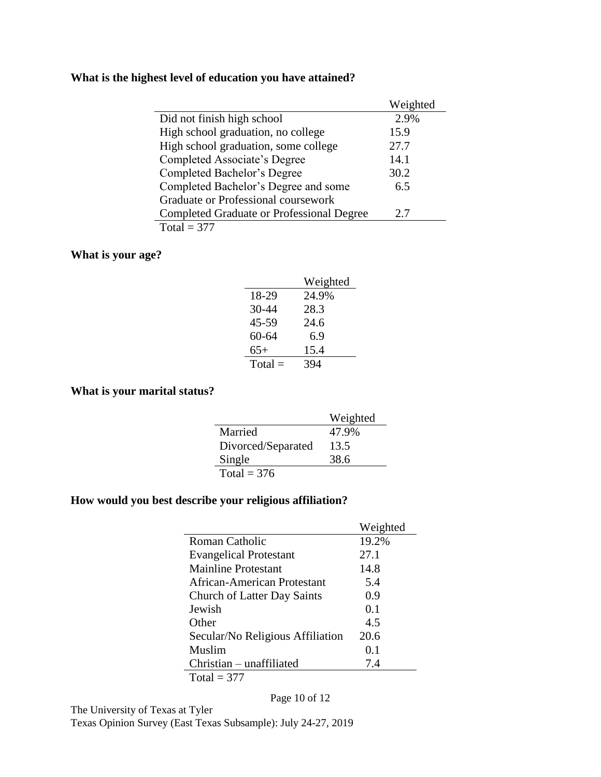# **What is the highest level of education you have attained?**

|                                                  | Weighted |
|--------------------------------------------------|----------|
| Did not finish high school                       | 2.9%     |
| High school graduation, no college               | 15.9     |
| High school graduation, some college             | 27.7     |
| Completed Associate's Degree                     | 14.1     |
| Completed Bachelor's Degree                      | 30.2     |
| Completed Bachelor's Degree and some             | 6.5      |
| Graduate or Professional coursework              |          |
| <b>Completed Graduate or Professional Degree</b> | 2.7      |
| Total = $377$                                    |          |

## **What is your age?**

|           | Weighted |
|-----------|----------|
| 18-29     | 24.9%    |
| 30-44     | 28.3     |
| 45-59     | 24.6     |
| 60-64     | 6.9      |
| $65+$     | 15.4     |
| $Total =$ | 394      |

# **What is your marital status?**

|                    | Weighted |
|--------------------|----------|
| Married            | 47.9%    |
| Divorced/Separated | 13.5     |
| Single             | 38.6     |
| Total = $376$      |          |

# **How would you best describe your religious affiliation?**

|                                    | Weighted |
|------------------------------------|----------|
| Roman Catholic                     | 19.2%    |
| <b>Evangelical Protestant</b>      | 27.1     |
| Mainline Protestant                | 14.8     |
| African-American Protestant        | 5.4      |
| <b>Church of Latter Day Saints</b> | 0.9      |
| Jewish                             | 0.1      |
| Other                              | 4.5      |
| Secular/No Religious Affiliation   | 20.6     |
| Muslim                             | 0.1      |
| Christian – unaffiliated           | 7.4      |
| Total = $377$                      |          |

Page 10 of 12

The University of Texas at Tyler Texas Opinion Survey (East Texas Subsample): July 24-27, 2019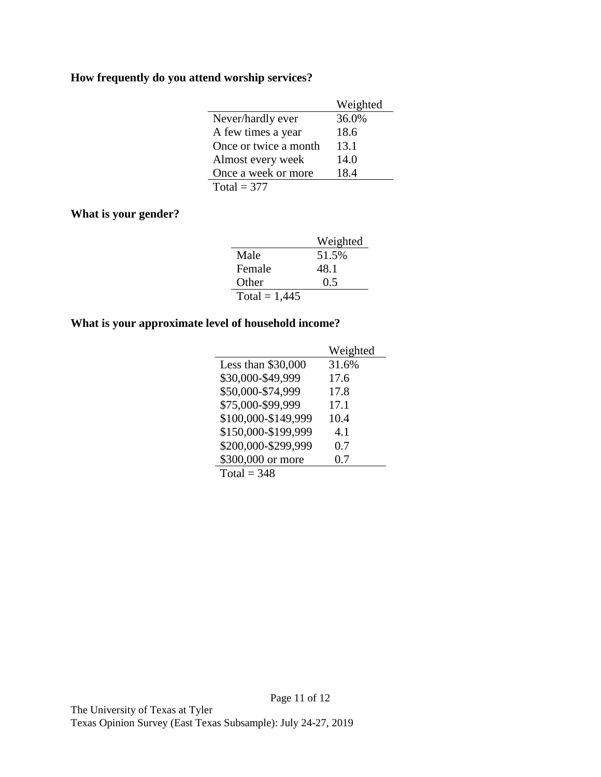# **How frequently do you attend worship services?**

|                       | Weighted |
|-----------------------|----------|
| Never/hardly ever     | 36.0%    |
| A few times a year    | 18.6     |
| Once or twice a month | 13.1     |
| Almost every week     | 14.0     |
| Once a week or more   | 18.4     |
| Total = $377$         |          |

# **What is your gender?**

|                 | Weighted |
|-----------------|----------|
| Male            | 51.5%    |
| Female          | 48.1     |
| Other           | 0.5      |
| Total = $1,445$ |          |

# **What is your approximate level of household income?**

|                     | Weighted |
|---------------------|----------|
| Less than \$30,000  | 31.6%    |
| \$30,000-\$49,999   | 17.6     |
| \$50,000-\$74,999   | 17.8     |
| \$75,000-\$99.999   | 17.1     |
| \$100,000-\$149,999 | 10.4     |
| \$150,000-\$199,999 | 4.1      |
| \$200,000-\$299,999 | 0.7      |
| \$300,000 or more   | 0.7      |
| Total = $348$       |          |